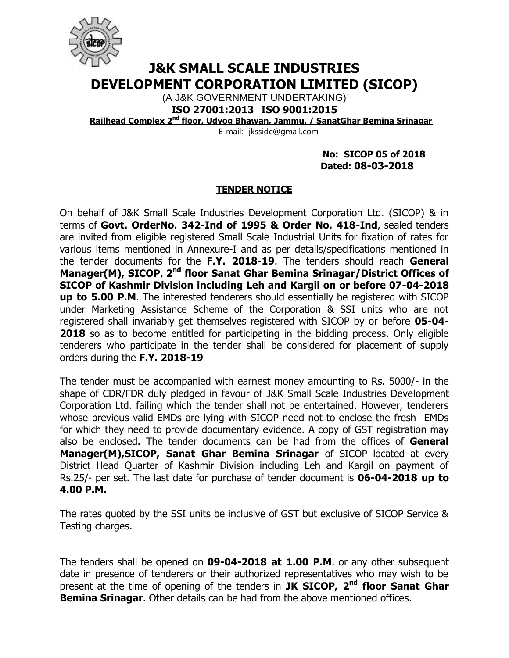

# **J&K SMALL SCALE INDUSTRIES DEVELOPMENT CORPORATION LIMITED (SICOP)**

(A J&K GOVERNMENT UNDERTAKING) **ISO 27001:2013 ISO 9001:2015**

 **Railhead Complex 2nd floor, Udyog Bhawan, Jammu, / SanatGhar Bemina Srinagar**

E-mail:- jkssidc@gmail.com

 **No: SICOP 05 of 2018 Dated: 08-03-2018**

### **TENDER NOTICE**

On behalf of J&K Small Scale Industries Development Corporation Ltd. (SICOP) & in terms of **Govt. OrderNo. 342-Ind of 1995 & Order No. 418-Ind**, sealed tenders are invited from eligible registered Small Scale Industrial Units for fixation of rates for various items mentioned in Annexure-I and as per details/specifications mentioned in the tender documents for the **F.Y. 2018-19**. The tenders should reach **General**  Manager(M), SICOP, 2<sup>nd</sup> floor Sanat Ghar Bemina Srinagar/District Offices of **SICOP of Kashmir Division including Leh and Kargil on or before 07-04-2018 up to 5.00 P.M**. The interested tenderers should essentially be registered with SICOP under Marketing Assistance Scheme of the Corporation & SSI units who are not registered shall invariably get themselves registered with SICOP by or before **05-04- 2018** so as to become entitled for participating in the bidding process. Only eligible tenderers who participate in the tender shall be considered for placement of supply orders during the **F.Y. 2018-19**

The tender must be accompanied with earnest money amounting to Rs. 5000/- in the shape of CDR/FDR duly pledged in favour of J&K Small Scale Industries Development Corporation Ltd. failing which the tender shall not be entertained. However, tenderers whose previous valid EMDs are lying with SICOP need not to enclose the fresh EMDs for which they need to provide documentary evidence. A copy of GST registration may also be enclosed. The tender documents can be had from the offices of **General Manager(M),SICOP, Sanat Ghar Bemina Srinagar** of SICOP located at every District Head Quarter of Kashmir Division including Leh and Kargil on payment of Rs.25/- per set. The last date for purchase of tender document is **06-04-2018 up to 4.00 P.M.**

The rates quoted by the SSI units be inclusive of GST but exclusive of SICOP Service & Testing charges.

The tenders shall be opened on **09-04-2018 at 1.00 P.M**. or any other subsequent date in presence of tenderers or their authorized representatives who may wish to be present at the time of opening of the tenders in **JK SICOP, 2nd floor Sanat Ghar Bemina Srinagar**. Other details can be had from the above mentioned offices.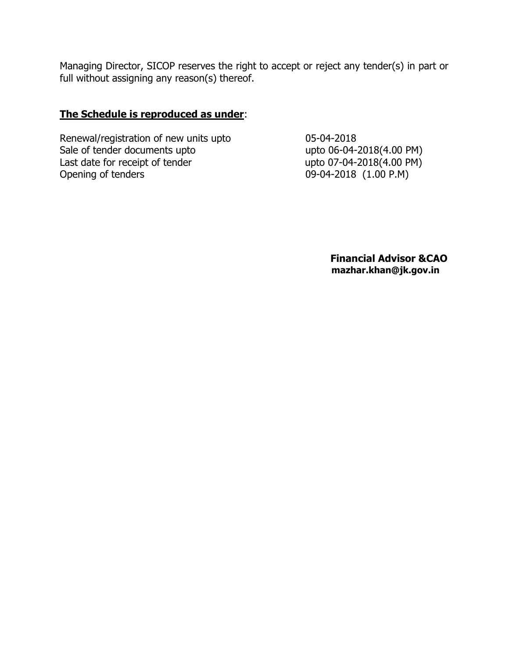Managing Director, SICOP reserves the right to accept or reject any tender(s) in part or full without assigning any reason(s) thereof.

#### **The Schedule is reproduced as under**:

Renewal/registration of new units upto 05-04-2018 Sale of tender documents upto<br>
Last date for receipt of tender<br>
Last date for receipt of tender<br>
Sale of tender<br>
Upto 07-04-2018(4.00 PM) Opening of tenders 09-04-2018 (1.00 P.M)

upto 07-04-2018(4.00 PM)

**Financial Advisor &CAO mazhar.khan@jk.gov.in**